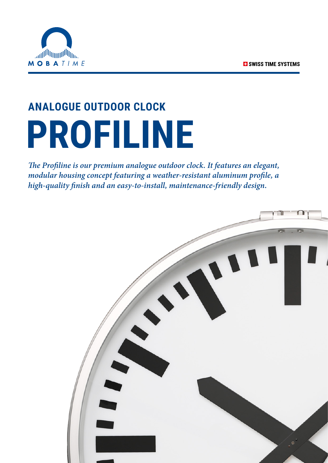

# **ANALOGUE OUTDOOR CLOCK PROFILINE**

*The Profiline is our premium analogue outdoor clock. It features an elegant, modular housing concept featuring a weather-resistant aluminum profile, a high-quality finish and an easy-to-install, maintenance-friendly design.*

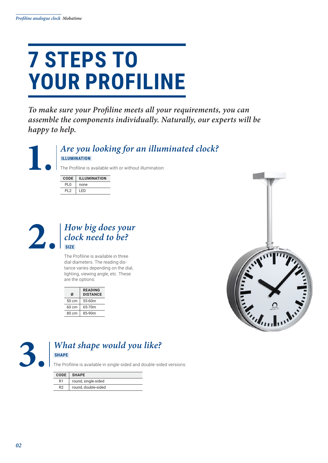### **7 STEPS TO YOUR PROFILINE**

*To make sure your Profiline meets all your requirements, you can assemble the components individually. Naturally, our experts will be happy to help.*

#### **1.** *Are you looking for an illuminated clock?*  **ILLUMINATION**

The Profiline is available with or without illumination:

| <b>CODE</b> | <b>ILLUMINATION</b> |
|-------------|---------------------|
| PIO         | none                |
| ום          | I ED                |



The Profiline is available in three dial diameters. The reading distance varies depending on the dial, lighting, viewing angle, etc. These are the options:

| Ø               | <b>READING</b><br><b>DISTANCE</b> |
|-----------------|-----------------------------------|
| 50 cm           | 55-60m                            |
| $60 \text{ cm}$ | 65-70m                            |
| 80 cm           | 85-90m                            |





#### **3.** *What shape would you like?*  **SHAPE**

The Profiline is available in single-sided and double-sided versions:

| <b>CODE</b>    | <b>SHAPE</b>        |
|----------------|---------------------|
| R1             | round, single-sided |
| R <sub>2</sub> | round, double-sided |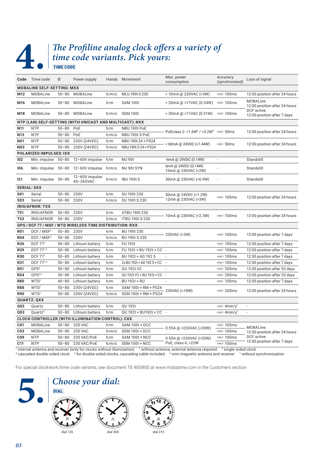**TIME CODE** 

### **4.** The Profiline analog clock offers a variety of time code variants. Pick yours: *time code variants. Pick yours:*

|                                                                                 | Code Time code                                     | Ø         | Power supply                                             |       | Hands Movement             | Max. power<br>consumption                                     | Accuracy<br>(synchronized)           | Loss of signal                             |  |
|---------------------------------------------------------------------------------|----------------------------------------------------|-----------|----------------------------------------------------------|-------|----------------------------|---------------------------------------------------------------|--------------------------------------|--------------------------------------------|--|
|                                                                                 | <b>MOBALINE SELF-SETTING: MXX</b>                  |           |                                                          |       |                            |                                                               |                                      |                                            |  |
| M12                                                                             | <b>MOBALine</b>                                    | $50 - 80$ | <b>MOBALine</b>                                          | h/m/s | MLU 190t S 230             | < 10mA @ 230VAC (<3W)                                         | <+/-100ms                            | 12:00 position after 24 hours              |  |
| M16                                                                             | <b>MOBALine</b>                                    | $50 - 80$ | <b>MOBALine</b>                                          | h/m   | <b>SAM 100t</b>            | < 20mA @ >17VAC (0.34W)                                       | <+/-100ms                            | MOBALine:<br>12:00 position after 24 hours |  |
| M18                                                                             | <b>MOBALine</b>                                    | $50 - 80$ | MOBALine                                                 | h/m/s | <b>SEM 100t</b>            | < 30 m A @ > 17 V A C (0.51 W)                                | <+/-100ms                            | DCF active:<br>12:00 position after 7 days |  |
| NTP (LAN) SELF-SETTING (WITH UNICAST AND MULTICAST): NXX                        |                                                    |           |                                                          |       |                            |                                                               |                                      |                                            |  |
| N11                                                                             | <b>NTP</b>                                         | $50 - 80$ | PoE                                                      | h/m   | NBU 190t PoE               | PoEclass 2: <1.6W <sup>3</sup> / <3.2W <sup>4</sup> <+/- 50ms |                                      | 12:00 position after 24 hours              |  |
| N <sub>13</sub>                                                                 | <b>NTP</b>                                         | $50 - 80$ | PoE                                                      | h/m/s | NBU 190t S PoE             |                                                               |                                      |                                            |  |
| <b>N01</b>                                                                      | <b>NTP</b>                                         | $50 - 80$ | 230V (24VDC)                                             | h/m   | NBU 190t 24 + PS24         | < 60mA @ 24VDC (<1.44W)                                       | $<$ +/-50ms                          | 12:00 position after 24 hours              |  |
| <b>N03</b>                                                                      | <b>NTP</b>                                         | $50 - 80$ | 230V (24VDC)                                             | h/m/s | NBU 190t S 24 + PS24       |                                                               |                                      |                                            |  |
|                                                                                 | <b>POLARIZED IMPULSES: IXX</b>                     |           |                                                          |       |                            |                                                               |                                      |                                            |  |
| 102                                                                             | Min. impulse                                       | $50 - 80$ | 12-60V impulse                                           | h/m   | <b>NU 90t</b>              | $-6mA$ @ 24VDC (0.14W)                                        |                                      | Standstill                                 |  |
| 106                                                                             | Min. impulse 50-80                                 |           | 12-60V impulse                                           | h/m/s | NU 90t SYN                 | 6mA @ 24VDC (0.14W)<br>10mA @ 230VAC (<2W)                    |                                      | Standstill                                 |  |
| 121                                                                             | Min. impulse 50-80                                 |           | 12-60V impulse<br>45-265VAC                              | h/m/s | <b>IBU 190t S</b>          | 30mA @ 230VAC (<6.9W)                                         |                                      | Standstill                                 |  |
| <b>SERIAL: SXX</b>                                                              |                                                    |           |                                                          |       |                            |                                                               |                                      |                                            |  |
| <b>S01</b>                                                                      | Serial                                             | $50 - 80$ | 230V                                                     | h/m   | SU 190t 230                | 50mA @ 24VDC (<1.2W)                                          | <+/-100ms                            | 12:00 position after 24 hours              |  |
| <b>S03</b>                                                                      | Serial                                             | $50 - 80$ | 230V                                                     | h/m/s | SU 190t S 230              | 12mA @ 230VAC (<3W)                                           |                                      |                                            |  |
|                                                                                 | <b>IRIG/AFNOR: TXX</b>                             |           |                                                          |       |                            |                                                               |                                      |                                            |  |
| <b>T51</b>                                                                      | IRIG/AFNOR                                         | $50 - 80$ | 230V                                                     | h/m   | ATBU 190t 230              |                                                               | <+/-100ms                            | 12:00 position after 24 hours              |  |
| T <sub>53</sub>                                                                 | IRIG/AFNOR                                         | $50 - 80$ | 230V                                                     | h/m/s | <b>ITBU 190t S 230</b>     | 10mA @ 230VAC (<2.3W)                                         |                                      |                                            |  |
| GPS/                                                                            | DCF 77 / MSF / WTD WIRELESS TIME DISTRIBUTION: RXX |           |                                                          |       |                            |                                                               |                                      |                                            |  |
| DCF / MSF <sup>2</sup><br><b>R01</b><br>$50 - 80$<br>230V<br>BU 190t 230<br>h/m |                                                    |           |                                                          |       | 230VAC (<3W)               | <+/-100ms                                                     | 12:00 position after 7 days          |                                            |  |
| <b>R04</b>                                                                      | DCF / MSF <sup>2</sup>                             | $50 - 80$ | 230V                                                     | h/m/s | BU 190t S 230              |                                                               |                                      |                                            |  |
| <b>R26</b>                                                                      | DCF 771                                            | $50 - 80$ | Lithium battery                                          | h/m   | <b>FU 192t</b>             |                                                               | <+/-100ms                            | 12:00 position after 7 days                |  |
| R29                                                                             | DCF 771,5                                          | $50 - 80$ | Lithium battery                                          | h/m   | FU 192t + BU 192t + CC -   |                                                               | <+/-100ms                            | 12:00 position after 7 days                |  |
| R30                                                                             | DCF 771                                            | $50 - 80$ | Lithium battery                                          | h/m   | BU 192t + AD 192.5         | $\overline{a}$                                                | <+/-100ms                            | 12:00 position after 7 days                |  |
| R31                                                                             | DCF 77 <sup>1,5</sup>                              | $50 - 80$ | Lithium battery                                          | h/m   | 2x BU 192t + AD 192.5 + CC | $\overline{\phantom{a}}$                                      | $< +/- 100$ ms                       | 12:00 position after 7 days                |  |
| R51                                                                             | GPS <sup>6</sup>                                   | $50 - 80$ | Lithium battery                                          | h/m   | GU 192t V2                 | $\overline{a}$                                                | <+/- 200ms                           | 12:00 position after 53 days               |  |
| <b>R54</b>                                                                      | GPS <sup>56</sup>                                  | $50 - 80$ | Lithium battery                                          | h/m   | GU 192t V2 + BU 192t + CC  | $\overline{\phantom{a}}$                                      | <+/- 200ms                           | 12:00 position after 53 days               |  |
| <b>R80</b>                                                                      | WTD <sup>1</sup>                                   | $40 - 80$ | Lithium battery                                          | h/m   | <b>BU 192t + RU</b>        |                                                               | <+/-100ms                            | 12:00 position after 7 days                |  |
| <b>R88</b>                                                                      | WTD <sup>1</sup>                                   | $50 - 80$ | 230V (24VDC)                                             | h/m   | SAM 100t + RM + PS24       |                                                               |                                      |                                            |  |
| <b>R90</b>                                                                      | WTD <sup>1</sup>                                   | $50 - 80$ | 230V (24VDC)                                             | h/m/s | SEM 100t + RM + PS24       | 230VAC (<18W)                                                 | <+/- 200ms                           | 12:00 position after 24 hours              |  |
|                                                                                 | <b>QUARTZ: QXX</b>                                 |           |                                                          |       |                            |                                                               |                                      |                                            |  |
| Q02                                                                             | Quartz                                             | $50 - 80$ | Lithium battery                                          | h/m   | <b>OU 192t</b>             | $\overline{\phantom{a}}$                                      | $\leftarrow +/-$ 4min/y <sup>7</sup> | $\overline{\phantom{a}}$                   |  |
| Q <sub>03</sub>                                                                 | Quartz <sup>5</sup>                                | $50 - 80$ | Lithium battery                                          | h/m   | QU 192t + BU192t + CC -    |                                                               | $\leftarrow$ /- 4min/y <sup>7</sup>  |                                            |  |
|                                                                                 |                                                    |           | <b>CLOCK CONTROLLER (WITH ILLUMINATION CONTROL): CXX</b> |       |                            |                                                               |                                      |                                            |  |
| C <sub>01</sub>                                                                 | <b>MOBALine</b>                                    | $50 - 80$ | <b>230 VAC</b>                                           | h/m   | <b>SAM 100t + DCC</b>      |                                                               | <+/-100ms                            | MOBALine:                                  |  |
| C <sub>03</sub>                                                                 | MOBALine                                           | $50 - 80$ | <b>230 VAC</b>                                           | h/m/s | <b>SEM 100t + DCC</b>      | $0.55A$ @ >230VAC (<20W)                                      | $< +/- 100$ ms                       | 12:00 position after 24 hours              |  |
| C <sub>09</sub>                                                                 | <b>NTP</b>                                         | $50 - 80$ | 230 VAC/PoE                                              | h/m   | <b>SAM 100t + NCC</b>      | $0.55A$ @ >230VAC (<20W)                                      | <+/-100ms                            | DCF active:                                |  |
| C11                                                                             | <b>NTP</b>                                         | $50 - 80$ | 230 VAC/PoE                                              | h/m/s | <b>SEM 100t + NCC</b>      | PoE, class 4, <22W                                            | <+/-100ms                            | 12:00 position after 7 days                |  |

<sup>1</sup> internal antenna and receiver (only for clocks without illumination) <sup>2</sup> without antenna, external antenna required <sup>3</sup> single-sided clock<br><sup>4</sup> cascaded double-sided clock <sup>5</sup> for double-sided clocks, cascading cable in

For special clockwork/time code variants, see document TE-800800 at www.mobatime.com in the Customers section



#### **5.** *Choose your dial:*  **DIAL**





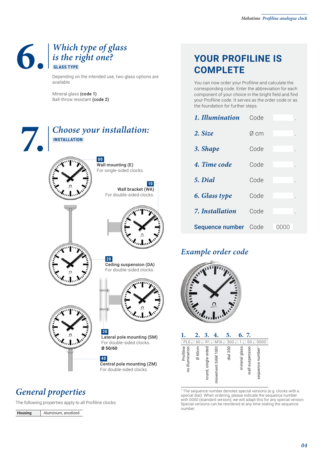### **6. 6.** *Which type of glass is the right one?*<br>**6.** *GLASS TYPE is the right one?*  **GLASS TYPE**

Depending on the intended use, two glass options are available.

Mineral glass (code 1) Ball-throw resistant (code 2)

| $\int$ | <b>INSTALLATION</b> | Choose your installation:                                               |
|--------|---------------------|-------------------------------------------------------------------------|
|        |                     | 00 <sub>1</sub><br>Wall mounting (E)<br>For single-sided clocks.        |
|        |                     | 10<br>Wall bracket (WA)<br>For double-sided clocks.                     |
|        |                     | All March                                                               |
|        |                     | 20 <br>Ceiling suspension (DA)<br>For double-sided clocks.              |
|        |                     |                                                                         |
|        | All All Card        | 30<br>Lateral pole mounting (SM)<br>For double-sided clocks.<br>Ø 50/60 |
|        |                     | 40<br>Central pole mounting (ZM)<br>For double-sided clocks.            |

#### *General properties*

The following properties apply to all Profiline clocks:

| Housing | Aluminium, anodized |
|---------|---------------------|
|---------|---------------------|

#### **YOUR PROFILINE IS COMPLETE**

You can now order your Profiline and calculate the corresponding code. Enter the abbreviation for each component of your choice in the bright field and find your Profiline code. It serves as the order code or as the foundation for further steps.

| 1. Illumination             | Code |                 |
|-----------------------------|------|-----------------|
| 2. Size                     | Ø cm |                 |
| 3. Shape                    | Code |                 |
| 4. Time code                | Code |                 |
| 5. Dial                     | Code |                 |
| 6. Glass type               | Code |                 |
| 7. Installation             | Code |                 |
| <b>Sequence number</b> Code |      | ( ) ( ) ( ) ( ) |

#### *Example order code*



|                              |        |                     |                   | 5.        | 6.            | 7.              |                              |
|------------------------------|--------|---------------------|-------------------|-----------|---------------|-----------------|------------------------------|
| PL <sub>0</sub>              | 60     | R1                  | M16.              | 300       |               | 00              | 0000                         |
| Profiline<br>no illumination | Ø 60cm | round, single-sided | movement SAM 100t | $dia$ 300 | mineral glass | wall suspension | sequence number <sup>1</sup> |

1 The sequence number denotes special versions (e.g. clocks with a special dial). When ordering, please indicate the sequence number with 0000 (standard version); we will adapt this for any special version. Special versions can be reordered at any time stating the sequence number.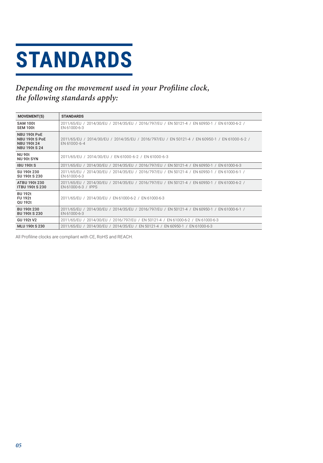# **STANDARDS**

#### Depending on the movement used in your Profiline clock, the following standards apply:

| <b>MOVEMENT(S)</b>                                                           | <b>STANDARDS</b>                                                                                                     |
|------------------------------------------------------------------------------|----------------------------------------------------------------------------------------------------------------------|
| <b>SAM 100t</b><br><b>SEM 100t</b>                                           | 2011/65/EU / 2014/30/EU / 2014/35/EU / 2016/797/EU / EN 50121-4 / EN 60950-1 / EN 61000-6-2 /<br>EN 61000-6-3        |
| NBU 190t PoE<br>NBU 190t S PoE<br><b>NBU 190t 24</b><br><b>NBU 190t S 24</b> | 2011/65/EU / 2014/30/EU / 2014/35/EU / 2016/797/EU / EN 50121-4 / EN 60950-1 / EN 61000-6-2 /<br>EN 61000-6-4        |
| <b>NU 90t</b><br>NU 90t SYN                                                  | 2011/65/EU / 2014/30/EU / EN 61000-6-2 / EN 61000-6-3                                                                |
| <b>IBU 190t S</b>                                                            | 2011/65/EU / 2014/30/EU / 2014/35/EU / 2016/797/EU / EN 50121-4 / EN 60950-1 / EN 61000-6-3                          |
| SU 190t 230<br>SU 190t S 230                                                 | 2011/65/EU / 2014/30/EU / 2014/35/EU / 2016/797/EU / EN 50121-4 / EN 60950-1 / EN 61000-6-1 /<br>EN 61000-6-3        |
| ATBU 190t 230<br><b>ITBU 190t S 230</b>                                      | 2011/65/EU / 2014/30/EU / 2014/35/EU / 2016/797/EU / EN 50121-4 / EN 60950-1 / EN 61000-6-2 /<br>EN 61000-6-3 / IPPS |
| <b>BU 192t</b><br><b>FU 192t</b><br>QU 192t                                  | 2011/65/EU / 2014/30/EU / EN 61000-6-2 / EN 61000-6-3                                                                |
| BU 190t 230<br><b>BU 190t S 230</b>                                          | 2011/65/EU / 2014/30/EU / 2014/35/EU / 2016/797/EU / EN 50121-4 / EN 60950-1 / EN 61000-6-1 /<br>EN 61000-6-3        |
| GU 192t V2                                                                   | 2011/65/EU / 2014/30/EU / 2016/797/EU / EN 50121-4 / EN 61000-6-2 / EN 61000-6-3                                     |
| <b>MLU 190t S 230</b>                                                        | 2011/65/EU / 2014/30/EU / 2014/35/EU / EN 50121-4 / EN 60950-1 / EN 61000-6-3                                        |

All Profiline clocks are compliant with CE, RoHS and REACH.